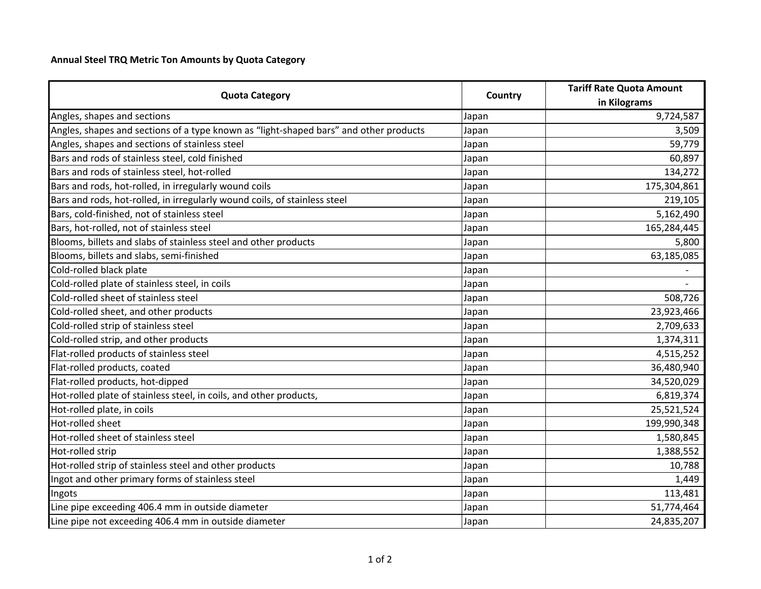## **Annual Steel TRQ Metric Ton Amounts by Quota Category**

|                                                                                       |         | <b>Tariff Rate Quota Amount</b> |
|---------------------------------------------------------------------------------------|---------|---------------------------------|
| <b>Quota Category</b>                                                                 | Country | in Kilograms                    |
| Angles, shapes and sections                                                           | Japan   | 9,724,587                       |
| Angles, shapes and sections of a type known as "light-shaped bars" and other products | Japan   | 3,509                           |
| Angles, shapes and sections of stainless steel                                        | Japan   | 59,779                          |
| Bars and rods of stainless steel, cold finished                                       | Japan   | 60,897                          |
| Bars and rods of stainless steel, hot-rolled                                          | Japan   | 134,272                         |
| Bars and rods, hot-rolled, in irregularly wound coils                                 | Japan   | 175,304,861                     |
| Bars and rods, hot-rolled, in irregularly wound coils, of stainless steel             | Japan   | 219,105                         |
| Bars, cold-finished, not of stainless steel                                           | Japan   | 5,162,490                       |
| Bars, hot-rolled, not of stainless steel                                              | Japan   | 165,284,445                     |
| Blooms, billets and slabs of stainless steel and other products                       | Japan   | 5,800                           |
| Blooms, billets and slabs, semi-finished                                              | Japan   | 63,185,085                      |
| Cold-rolled black plate                                                               | Japan   |                                 |
| Cold-rolled plate of stainless steel, in coils                                        | Japan   |                                 |
| Cold-rolled sheet of stainless steel                                                  | Japan   | 508,726                         |
| Cold-rolled sheet, and other products                                                 | Japan   | 23,923,466                      |
| Cold-rolled strip of stainless steel                                                  | Japan   | 2,709,633                       |
| Cold-rolled strip, and other products                                                 | Japan   | 1,374,311                       |
| Flat-rolled products of stainless steel                                               | Japan   | 4,515,252                       |
| Flat-rolled products, coated                                                          | Japan   | 36,480,940                      |
| Flat-rolled products, hot-dipped                                                      | Japan   | 34,520,029                      |
| Hot-rolled plate of stainless steel, in coils, and other products,                    | Japan   | 6,819,374                       |
| Hot-rolled plate, in coils                                                            | Japan   | 25,521,524                      |
| Hot-rolled sheet                                                                      | Japan   | 199,990,348                     |
| Hot-rolled sheet of stainless steel                                                   | Japan   | 1,580,845                       |
| Hot-rolled strip                                                                      | Japan   | 1,388,552                       |
| Hot-rolled strip of stainless steel and other products                                | Japan   | 10,788                          |
| Ingot and other primary forms of stainless steel                                      | Japan   | 1,449                           |
| Ingots                                                                                | Japan   | 113,481                         |
| Line pipe exceeding 406.4 mm in outside diameter                                      | Japan   | 51,774,464                      |
| Line pipe not exceeding 406.4 mm in outside diameter                                  | Japan   | 24,835,207                      |